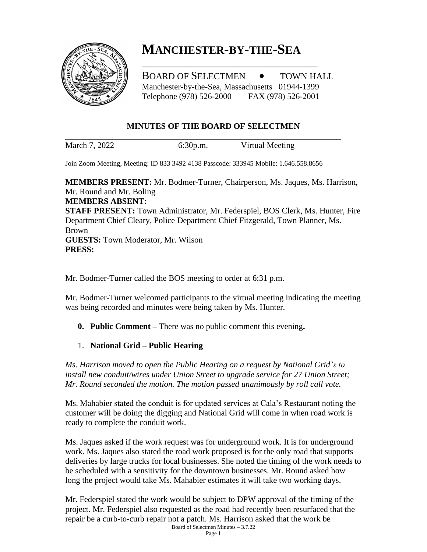

# **MANCHESTER-BY-THE-SEA**

\_\_\_\_\_\_\_\_\_\_\_\_\_\_\_\_\_\_\_\_\_\_\_\_\_\_\_\_\_\_\_\_\_\_\_\_

BOARD OF SELECTMEN  $\bullet$  TOWN HALL Manchester-by-the-Sea, Massachusetts 01944-1399 Telephone (978) 526-2000 FAX (978) 526-2001

#### **MINUTES OF THE BOARD OF SELECTMEN**

March 7, 2022 6:30p.m. Virtual Meeting

Join Zoom Meeting, Meeting: ID 833 3492 4138 Passcode: 333945 Mobile: 1.646.558.8656

**MEMBERS PRESENT:** Mr. Bodmer-Turner, Chairperson, Ms. Jaques, Ms. Harrison, Mr. Round and Mr. Boling **MEMBERS ABSENT: STAFF PRESENT:** Town Administrator, Mr. Federspiel, BOS Clerk, Ms. Hunter, Fire Department Chief Cleary, Police Department Chief Fitzgerald, Town Planner, Ms. Brown **GUESTS:** Town Moderator, Mr. Wilson **PRESS:**

Mr. Bodmer-Turner called the BOS meeting to order at 6:31 p.m.

Mr. Bodmer-Turner welcomed participants to the virtual meeting indicating the meeting was being recorded and minutes were being taken by Ms. Hunter.

**0. Public Comment –** There was no public comment this evening**.**

1. **National Grid – Public Hearing**

*Ms. Harrison moved to open the Public Hearing on a request by National Grid's to install new conduit/wires under Union Street to upgrade service for 27 Union Street; Mr. Round seconded the motion. The motion passed unanimously by roll call vote.*

Ms. Mahabier stated the conduit is for updated services at Cala's Restaurant noting the customer will be doing the digging and National Grid will come in when road work is ready to complete the conduit work.

Ms. Jaques asked if the work request was for underground work. It is for underground work. Ms. Jaques also stated the road work proposed is for the only road that supports deliveries by large trucks for local businesses. She noted the timing of the work needs to be scheduled with a sensitivity for the downtown businesses. Mr. Round asked how long the project would take Ms. Mahabier estimates it will take two working days.

Board of Selectmen Minutes – 3.7.22 Mr. Federspiel stated the work would be subject to DPW approval of the timing of the project. Mr. Federspiel also requested as the road had recently been resurfaced that the repair be a curb-to-curb repair not a patch. Ms. Harrison asked that the work be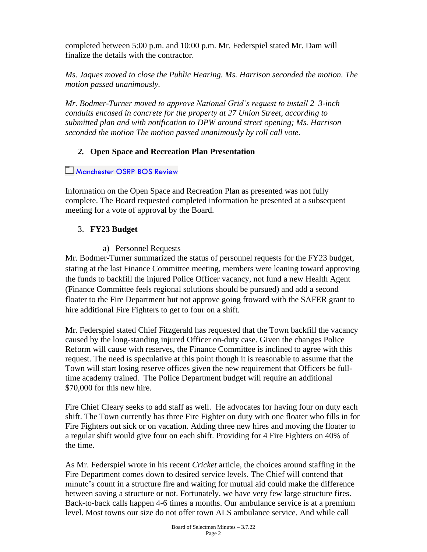completed between 5:00 p.m. and 10:00 p.m. Mr. Federspiel stated Mr. Dam will finalize the details with the contractor.

*Ms. Jaques moved to close the Public Hearing. Ms. Harrison seconded the motion. The motion passed unanimously.*

*Mr. Bodmer-Turner moved to approve National Grid's request to install 2–3-inch conduits encased in concrete for the property at 27 Union Street, according to submitted plan and with notification to DPW around street opening; Ms. Harrison seconded the motion The motion passed unanimously by roll call vote.*

# *2.* **Open Space and Recreation Plan Presentation**

# [Manchester OSRP BOS Review](https://mapc365-my.sharepoint.com/:f:/g/personal/clewis_mapc_org/EhkIr5y9SqhPm7W17YWBtXEBhNHTvJlpk6se8nCpOtqZIQ?e=bpEyVc)

Information on the Open Space and Recreation Plan as presented was not fully complete. The Board requested completed information be presented at a subsequent meeting for a vote of approval by the Board.

# 3. **FY23 Budget**

a) Personnel Requests

Mr. Bodmer-Turner summarized the status of personnel requests for the FY23 budget, stating at the last Finance Committee meeting, members were leaning toward approving the funds to backfill the injured Police Officer vacancy, not fund a new Health Agent (Finance Committee feels regional solutions should be pursued) and add a second floater to the Fire Department but not approve going froward with the SAFER grant to hire additional Fire Fighters to get to four on a shift.

Mr. Federspiel stated Chief Fitzgerald has requested that the Town backfill the vacancy caused by the long-standing injured Officer on-duty case. Given the changes Police Reform will cause with reserves, the Finance Committee is inclined to agree with this request. The need is speculative at this point though it is reasonable to assume that the Town will start losing reserve offices given the new requirement that Officers be fulltime academy trained. The Police Department budget will require an additional \$70,000 for this new hire.

Fire Chief Cleary seeks to add staff as well. He advocates for having four on duty each shift. The Town currently has three Fire Fighter on duty with one floater who fills in for Fire Fighters out sick or on vacation. Adding three new hires and moving the floater to a regular shift would give four on each shift. Providing for 4 Fire Fighters on 40% of the time.

As Mr. Federspiel wrote in his recent *Cricket* article, the choices around staffing in the Fire Department comes down to desired service levels. The Chief will contend that minute's count in a structure fire and waiting for mutual aid could make the difference between saving a structure or not. Fortunately, we have very few large structure fires. Back-to-back calls happen 4-6 times a months. Our ambulance service is at a premium level. Most towns our size do not offer town ALS ambulance service. And while call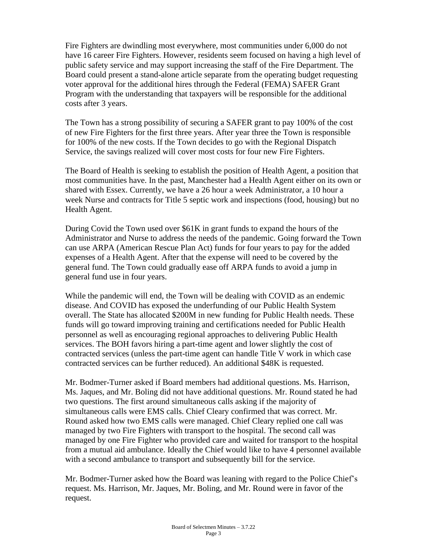Fire Fighters are dwindling most everywhere, most communities under 6,000 do not have 16 career Fire Fighters. However, residents seem focused on having a high level of public safety service and may support increasing the staff of the Fire Department. The Board could present a stand-alone article separate from the operating budget requesting voter approval for the additional hires through the Federal (FEMA) SAFER Grant Program with the understanding that taxpayers will be responsible for the additional costs after 3 years.

The Town has a strong possibility of securing a SAFER grant to pay 100% of the cost of new Fire Fighters for the first three years. After year three the Town is responsible for 100% of the new costs. If the Town decides to go with the Regional Dispatch Service, the savings realized will cover most costs for four new Fire Fighters.

The Board of Health is seeking to establish the position of Health Agent, a position that most communities have. In the past, Manchester had a Health Agent either on its own or shared with Essex. Currently, we have a 26 hour a week Administrator, a 10 hour a week Nurse and contracts for Title 5 septic work and inspections (food, housing) but no Health Agent.

During Covid the Town used over \$61K in grant funds to expand the hours of the Administrator and Nurse to address the needs of the pandemic. Going forward the Town can use ARPA (American Rescue Plan Act) funds for four years to pay for the added expenses of a Health Agent. After that the expense will need to be covered by the general fund. The Town could gradually ease off ARPA funds to avoid a jump in general fund use in four years.

While the pandemic will end, the Town will be dealing with COVID as an endemic disease. And COVID has exposed the underfunding of our Public Health System overall. The State has allocated \$200M in new funding for Public Health needs. These funds will go toward improving training and certifications needed for Public Health personnel as well as encouraging regional approaches to delivering Public Health services. The BOH favors hiring a part-time agent and lower slightly the cost of contracted services (unless the part-time agent can handle Title V work in which case contracted services can be further reduced). An additional \$48K is requested.

Mr. Bodmer-Turner asked if Board members had additional questions. Ms. Harrison, Ms. Jaques, and Mr. Boling did not have additional questions. Mr. Round stated he had two questions. The first around simultaneous calls asking if the majority of simultaneous calls were EMS calls. Chief Cleary confirmed that was correct. Mr. Round asked how two EMS calls were managed. Chief Cleary replied one call was managed by two Fire Fighters with transport to the hospital. The second call was managed by one Fire Fighter who provided care and waited for transport to the hospital from a mutual aid ambulance. Ideally the Chief would like to have 4 personnel available with a second ambulance to transport and subsequently bill for the service.

Mr. Bodmer-Turner asked how the Board was leaning with regard to the Police Chief's request. Ms. Harrison, Mr. Jaques, Mr. Boling, and Mr. Round were in favor of the request.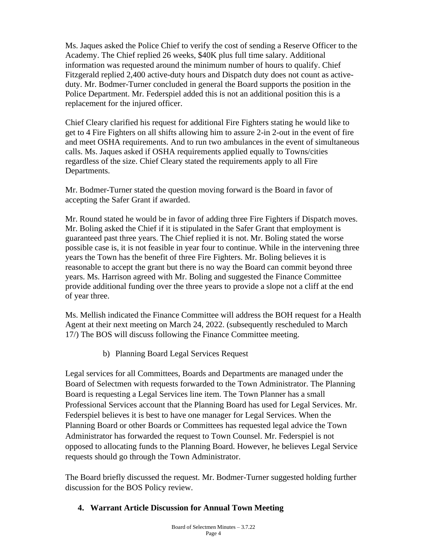Ms. Jaques asked the Police Chief to verify the cost of sending a Reserve Officer to the Academy. The Chief replied 26 weeks, \$40K plus full time salary. Additional information was requested around the minimum number of hours to qualify. Chief Fitzgerald replied 2,400 active-duty hours and Dispatch duty does not count as activeduty. Mr. Bodmer-Turner concluded in general the Board supports the position in the Police Department. Mr. Federspiel added this is not an additional position this is a replacement for the injured officer.

Chief Cleary clarified his request for additional Fire Fighters stating he would like to get to 4 Fire Fighters on all shifts allowing him to assure 2-in 2-out in the event of fire and meet OSHA requirements. And to run two ambulances in the event of simultaneous calls. Ms. Jaques asked if OSHA requirements applied equally to Towns/cities regardless of the size. Chief Cleary stated the requirements apply to all Fire Departments.

Mr. Bodmer-Turner stated the question moving forward is the Board in favor of accepting the Safer Grant if awarded.

Mr. Round stated he would be in favor of adding three Fire Fighters if Dispatch moves. Mr. Boling asked the Chief if it is stipulated in the Safer Grant that employment is guaranteed past three years. The Chief replied it is not. Mr. Boling stated the worse possible case is, it is not feasible in year four to continue. While in the intervening three years the Town has the benefit of three Fire Fighters. Mr. Boling believes it is reasonable to accept the grant but there is no way the Board can commit beyond three years. Ms. Harrison agreed with Mr. Boling and suggested the Finance Committee provide additional funding over the three years to provide a slope not a cliff at the end of year three.

Ms. Mellish indicated the Finance Committee will address the BOH request for a Health Agent at their next meeting on March 24, 2022. (subsequently rescheduled to March 17/) The BOS will discuss following the Finance Committee meeting.

b) Planning Board Legal Services Request

Legal services for all Committees, Boards and Departments are managed under the Board of Selectmen with requests forwarded to the Town Administrator. The Planning Board is requesting a Legal Services line item. The Town Planner has a small Professional Services account that the Planning Board has used for Legal Services. Mr. Federspiel believes it is best to have one manager for Legal Services. When the Planning Board or other Boards or Committees has requested legal advice the Town Administrator has forwarded the request to Town Counsel. Mr. Federspiel is not opposed to allocating funds to the Planning Board. However, he believes Legal Service requests should go through the Town Administrator.

The Board briefly discussed the request. Mr. Bodmer-Turner suggested holding further discussion for the BOS Policy review.

# **4. Warrant Article Discussion for Annual Town Meeting**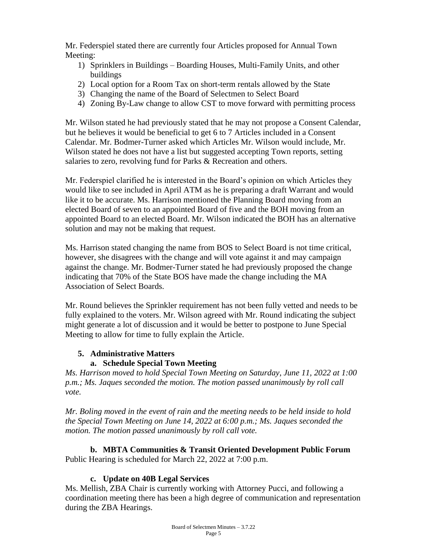Mr. Federspiel stated there are currently four Articles proposed for Annual Town Meeting:

- 1) Sprinklers in Buildings Boarding Houses, Multi-Family Units, and other buildings
- 2) Local option for a Room Tax on short-term rentals allowed by the State
- 3) Changing the name of the Board of Selectmen to Select Board
- 4) Zoning By-Law change to allow CST to move forward with permitting process

Mr. Wilson stated he had previously stated that he may not propose a Consent Calendar, but he believes it would be beneficial to get 6 to 7 Articles included in a Consent Calendar. Mr. Bodmer-Turner asked which Articles Mr. Wilson would include, Mr. Wilson stated he does not have a list but suggested accepting Town reports, setting salaries to zero, revolving fund for Parks & Recreation and others.

Mr. Federspiel clarified he is interested in the Board's opinion on which Articles they would like to see included in April ATM as he is preparing a draft Warrant and would like it to be accurate. Ms. Harrison mentioned the Planning Board moving from an elected Board of seven to an appointed Board of five and the BOH moving from an appointed Board to an elected Board. Mr. Wilson indicated the BOH has an alternative solution and may not be making that request.

Ms. Harrison stated changing the name from BOS to Select Board is not time critical, however, she disagrees with the change and will vote against it and may campaign against the change. Mr. Bodmer-Turner stated he had previously proposed the change indicating that 70% of the State BOS have made the change including the MA Association of Select Boards.

Mr. Round believes the Sprinkler requirement has not been fully vetted and needs to be fully explained to the voters. Mr. Wilson agreed with Mr. Round indicating the subject might generate a lot of discussion and it would be better to postpone to June Special Meeting to allow for time to fully explain the Article.

# **5. Administrative Matters**

# **a. Schedule Special Town Meeting**

*Ms. Harrison moved to hold Special Town Meeting on Saturday, June 11, 2022 at 1:00 p.m.; Ms. Jaques seconded the motion. The motion passed unanimously by roll call vote.* 

*Mr. Boling moved in the event of rain and the meeting needs to be held inside to hold the Special Town Meeting on June 14, 2022 at 6:00 p.m.; Ms. Jaques seconded the motion. The motion passed unanimously by roll call vote.* 

**b. MBTA Communities & Transit Oriented Development Public Forum** Public Hearing is scheduled for March 22, 2022 at 7:00 p.m.

# **c. Update on 40B Legal Services**

Ms. Mellish, ZBA Chair is currently working with Attorney Pucci, and following a coordination meeting there has been a high degree of communication and representation during the ZBA Hearings.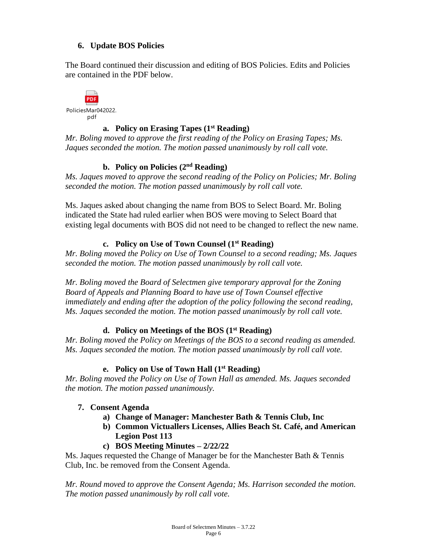# **6. Update BOS Policies**

The Board continued their discussion and editing of BOS Policies. Edits and Policies are contained in the PDF below.



# **a. Policy on Erasing Tapes (1st Reading)**

*Mr. Boling moved to approve the first reading of the Policy on Erasing Tapes; Ms. Jaques seconded the motion. The motion passed unanimously by roll call vote.*

# **b. Policy on Policies (2nd Reading)**

*Ms. Jaques moved to approve the second reading of the Policy on Policies; Mr. Boling seconded the motion. The motion passed unanimously by roll call vote.*

Ms. Jaques asked about changing the name from BOS to Select Board. Mr. Boling indicated the State had ruled earlier when BOS were moving to Select Board that existing legal documents with BOS did not need to be changed to reflect the new name.

# **c. Policy on Use of Town Counsel (1st Reading)**

*Mr. Boling moved the Policy on Use of Town Counsel to a second reading; Ms. Jaques seconded the motion. The motion passed unanimously by roll call vote.* 

*Mr. Boling moved the Board of Selectmen give temporary approval for the Zoning Board of Appeals and Planning Board to have use of Town Counsel effective immediately and ending after the adoption of the policy following the second reading, Ms. Jaques seconded the motion. The motion passed unanimously by roll call vote.* 

# **d. Policy on Meetings of the BOS (1st Reading)**

*Mr. Boling moved the Policy on Meetings of the BOS to a second reading as amended. Ms. Jaques seconded the motion. The motion passed unanimously by roll call vote.*

# **e. Policy on Use of Town Hall (1st Reading)**

*Mr. Boling moved the Policy on Use of Town Hall as amended. Ms. Jaques seconded the motion. The motion passed unanimously.*

# **7. Consent Agenda**

- **a) Change of Manager: Manchester Bath & Tennis Club, Inc**
- **b) Common Victuallers Licenses, Allies Beach St. Café, and American Legion Post 113**
- **c) BOS Meeting Minutes – 2/22/22**

Ms. Jaques requested the Change of Manager be for the Manchester Bath & Tennis Club, Inc. be removed from the Consent Agenda.

*Mr. Round moved to approve the Consent Agenda; Ms. Harrison seconded the motion. The motion passed unanimously by roll call vote.*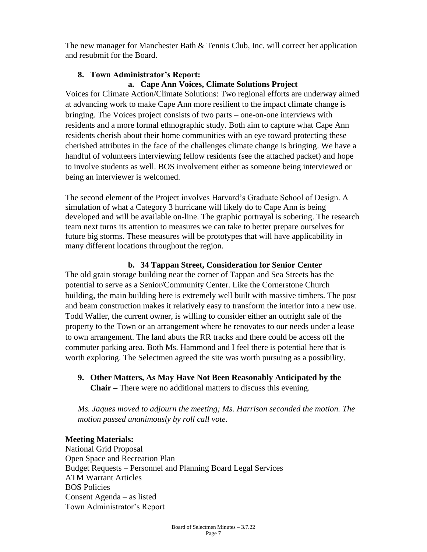The new manager for Manchester Bath & Tennis Club, Inc. will correct her application and resubmit for the Board.

#### **8. Town Administrator's Report:**

#### **a. Cape Ann Voices, Climate Solutions Project**

Voices for Climate Action/Climate Solutions: Two regional efforts are underway aimed at advancing work to make Cape Ann more resilient to the impact climate change is bringing. The Voices project consists of two parts – one-on-one interviews with residents and a more formal ethnographic study. Both aim to capture what Cape Ann residents cherish about their home communities with an eye toward protecting these cherished attributes in the face of the challenges climate change is bringing. We have a handful of volunteers interviewing fellow residents (see the attached packet) and hope to involve students as well. BOS involvement either as someone being interviewed or being an interviewer is welcomed.

The second element of the Project involves Harvard's Graduate School of Design. A simulation of what a Category 3 hurricane will likely do to Cape Ann is being developed and will be available on-line. The graphic portrayal is sobering. The research team next turns its attention to measures we can take to better prepare ourselves for future big storms. These measures will be prototypes that will have applicability in many different locations throughout the region.

#### **b. 34 Tappan Street, Consideration for Senior Center**

The old grain storage building near the corner of Tappan and Sea Streets has the potential to serve as a Senior/Community Center. Like the Cornerstone Church building, the main building here is extremely well built with massive timbers. The post and beam construction makes it relatively easy to transform the interior into a new use. Todd Waller, the current owner, is willing to consider either an outright sale of the property to the Town or an arrangement where he renovates to our needs under a lease to own arrangement. The land abuts the RR tracks and there could be access off the commuter parking area. Both Ms. Hammond and I feel there is potential here that is worth exploring. The Selectmen agreed the site was worth pursuing as a possibility.

**9. Other Matters, As May Have Not Been Reasonably Anticipated by the Chair –** There were no additional matters to discuss this evening.

*Ms. Jaques moved to adjourn the meeting; Ms. Harrison seconded the motion. The motion passed unanimously by roll call vote.*

#### **Meeting Materials:**

National Grid Proposal Open Space and Recreation Plan Budget Requests – Personnel and Planning Board Legal Services ATM Warrant Articles BOS Policies Consent Agenda – as listed Town Administrator's Report